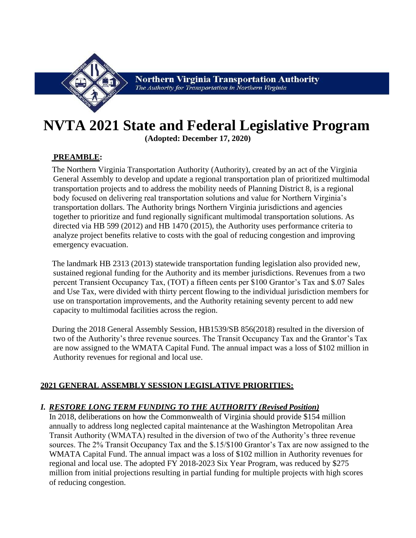

# **NVTA 2021 State and Federal Legislative Program**

**(Adopted: December 17, 2020)**

# **PREAMBLE:**

The Northern Virginia Transportation Authority (Authority), created by an act of the Virginia General Assembly to develop and update a regional transportation plan of prioritized multimodal transportation projects and to address the mobility needs of Planning District 8, is a regional body focused on delivering real transportation solutions and value for Northern Virginia's transportation dollars. The Authority brings Northern Virginia jurisdictions and agencies together to prioritize and fund regionally significant multimodal transportation solutions. As directed via HB 599 (2012) and HB 1470 (2015), the Authority uses performance criteria to analyze project benefits relative to costs with the goal of reducing congestion and improving emergency evacuation.

The landmark HB 2313 (2013) statewide transportation funding legislation also provided new, sustained regional funding for the Authority and its member jurisdictions. Revenues from a two percent Transient Occupancy Tax, (TOT) a fifteen cents per \$100 Grantor's Tax and \$.07 Sales and Use Tax, were divided with thirty percent flowing to the individual jurisdiction members for use on transportation improvements, and the Authority retaining seventy percent to add new capacity to multimodal facilities across the region.

During the 2018 General Assembly Session, HB1539/SB 856(2018) resulted in the diversion of two of the Authority's three revenue sources. The Transit Occupancy Tax and the Grantor's Tax are now assigned to the WMATA Capital Fund. The annual impact was a loss of \$102 million in Authority revenues for regional and local use.

## **2021 GENERAL ASSEMBLY SESSION LEGISLATIVE PRIORITIES:**

# *I. RESTORE LONG TERM FUNDING TO THE AUTHORITY (Revised Position)*

In 2018, deliberations on how the Commonwealth of Virginia should provide \$154 million annually to address long neglected capital maintenance at the Washington Metropolitan Area Transit Authority (WMATA) resulted in the diversion of two of the Authority's three revenue sources. The 2% Transit Occupancy Tax and the \$.15/\$100 Grantor's Tax are now assigned to the WMATA Capital Fund. The annual impact was a loss of \$102 million in Authority revenues for regional and local use. The adopted FY 2018-2023 Six Year Program, was reduced by \$275 million from initial projections resulting in partial funding for multiple projects with high scores of reducing congestion.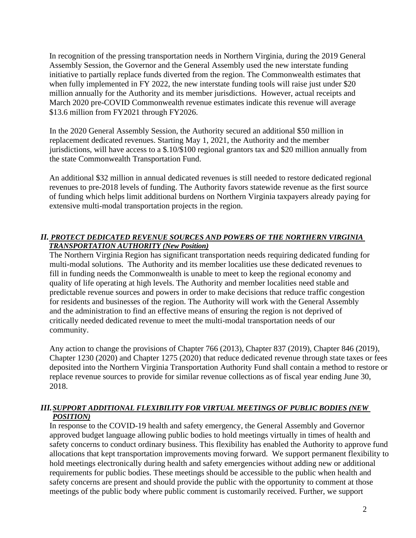In recognition of the pressing transportation needs in Northern Virginia, during the 2019 General Assembly Session, the Governor and the General Assembly used the new interstate funding initiative to partially replace funds diverted from the region. The Commonwealth estimates that when fully implemented in FY 2022, the new interstate funding tools will raise just under \$20 million annually for the Authority and its member jurisdictions. However, actual receipts and March 2020 pre-COVID Commonwealth revenue estimates indicate this revenue will average \$13.6 million from FY2021 through FY2026.

In the 2020 General Assembly Session, the Authority secured an additional \$50 million in replacement dedicated revenues. Starting May 1, 2021, the Authority and the member jurisdictions, will have access to a \$.10/\$100 regional grantors tax and \$20 million annually from the state Commonwealth Transportation Fund.

An additional \$32 million in annual dedicated revenues is still needed to restore dedicated regional revenues to pre-2018 levels of funding. The Authority favors statewide revenue as the first source of funding which helps limit additional burdens on Northern Virginia taxpayers already paying for extensive multi-modal transportation projects in the region.

#### *II. PROTECT DEDICATED REVENUE SOURCES AND POWERS OF THE NORTHERN VIRGINIA TRANSPORTATION AUTHORITY (New Position)*

The Northern Virginia Region has significant transportation needs requiring dedicated funding for multi-modal solutions. The Authority and its member localities use these dedicated revenues to fill in funding needs the Commonwealth is unable to meet to keep the regional economy and quality of life operating at high levels. The Authority and member localities need stable and predictable revenue sources and powers in order to make decisions that reduce traffic congestion for residents and businesses of the region. The Authority will work with the General Assembly and the administration to find an effective means of ensuring the region is not deprived of critically needed dedicated revenue to meet the multi-modal transportation needs of our community.

Any action to change the provisions of Chapter 766 (2013), Chapter 837 (2019), Chapter 846 (2019), Chapter 1230 (2020) and Chapter 1275 (2020) that reduce dedicated revenue through state taxes or fees deposited into the Northern Virginia Transportation Authority Fund shall contain a method to restore or replace revenue sources to provide for similar revenue collections as of fiscal year ending June 30, 2018.

#### *III.SUPPORT ADDITIONAL FLEXIBILITY FOR VIRTUAL MEETINGS OF PUBLIC BODIES (NEW POSITION)*

In response to the COVID-19 health and safety emergency, the General Assembly and Governor approved budget language allowing public bodies to hold meetings virtually in times of health and safety concerns to conduct ordinary business. This flexibility has enabled the Authority to approve fund allocations that kept transportation improvements moving forward. We support permanent flexibility to hold meetings electronically during health and safety emergencies without adding new or additional requirements for public bodies. These meetings should be accessible to the public when health and safety concerns are present and should provide the public with the opportunity to comment at those meetings of the public body where public comment is customarily received. Further, we support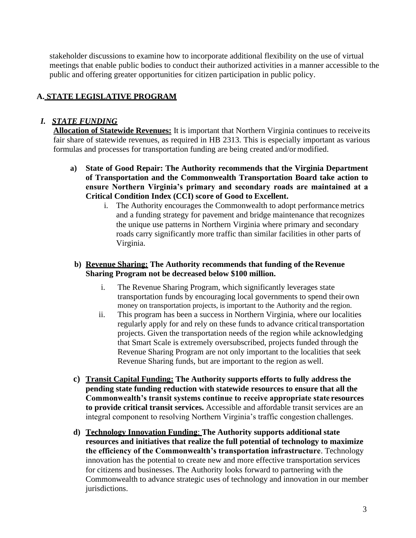stakeholder discussions to examine how to incorporate additional flexibility on the use of virtual meetings that enable public bodies to conduct their authorized activities in a manner accessible to the public and offering greater opportunities for citizen participation in public policy.

# **A. STATE LEGISLATIVE PROGRAM**

#### *I. STATE FUNDING*

**Allocation of Statewide Revenues:** It is important that Northern Virginia continues to receiveits fair share of statewide revenues, as required in HB 2313. This is especially important as various formulas and processes for transportation funding are being created and/ormodified.

- **a) State of Good Repair: The Authority recommends that the Virginia Department of Transportation and the Commonwealth Transportation Board take action to ensure Northern Virginia's primary and secondary roads are maintained at a Critical Condition Index (CCI) score of Good to Excellent.**
	- i. The Authority encourages the Commonwealth to adopt performance metrics and a funding strategy for pavement and bridge maintenance that recognizes the unique use patterns in Northern Virginia where primary and secondary roads carry significantly more traffic than similar facilities in other parts of Virginia.

#### **b) Revenue Sharing: The Authority recommends that funding of the Revenue Sharing Program not be decreased below \$100 million.**

- i. The Revenue Sharing Program, which significantly leverages state transportation funds by encouraging local governments to spend their own money on transportation projects, is important to the Authority and the region.
- ii. This program has been a success in Northern Virginia, where our localities regularly apply for and rely on these funds to advance critical transportation projects. Given the transportation needs of the region while acknowledging that Smart Scale is extremely oversubscribed, projects funded through the Revenue Sharing Program are not only important to the localities that seek Revenue Sharing funds, but are important to the region as well.
- **c) Transit Capital Funding: The Authority supports efforts to fully address the pending state funding reduction with statewide resources to ensure that all the Commonwealth's transit systems continue to receive appropriate state resources to provide critical transit services.** Accessible and affordable transit services are an integral component to resolving Northern Virginia's traffic congestion challenges.
- **d) Technology Innovation Funding**: **The Authority supports additional state resources and initiatives that realize the full potential of technology to maximize the efficiency of the Commonwealth's transportation infrastructure**. Technology innovation has the potential to create new and more effective transportation services for citizens and businesses. The Authority looks forward to partnering with the Commonwealth to advance strategic uses of technology and innovation in our member jurisdictions.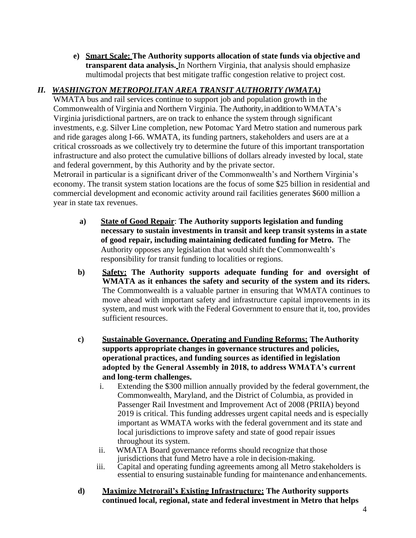**e) Smart Scale: The Authority supports allocation of state funds via objective and transparent data analysis.** In Northern Virginia, that analysis should emphasize multimodal projects that best mitigate traffic congestion relative to project cost.

# *II. WASHINGTON METROPOLITAN AREA TRANSIT AUTHORITY (WMATA)*

WMATA bus and rail services continue to support job and population growth in the Commonwealth of Virginia and Northern Virginia. The Authority, in addition to WMATA's Virginia jurisdictional partners, are on track to enhance the system through significant investments, e.g. Silver Line completion, new Potomac Yard Metro station and numerous park and ride garages along I-66. WMATA, its funding partners, stakeholders and users are at a critical crossroads as we collectively try to determine the future of this important transportation infrastructure and also protect the cumulative billions of dollars already invested by local, state and federal government, by this Authority and by the private sector.

Metrorail in particular is a significant driver of the Commonwealth's and Northern Virginia's economy. The transit system station locations are the focus of some \$25 billion in residential and commercial development and economic activity around rail facilities generates \$600 million a year in state tax revenues.

- **a) State of Good Repair**: **The Authority supports legislation and funding necessary to sustain investments in transit and keep transit systems in a state of good repair, including maintaining dedicated funding for Metro.** The Authority opposes any legislation that would shift theCommonwealth's responsibility for transit funding to localities or regions.
- **b) Safety: The Authority supports adequate funding for and oversight of WMATA as it enhances the safety and security of the system and its riders.**  The Commonwealth is a valuable partner in ensuring that WMATA continues to move ahead with important safety and infrastructure capital improvements in its system, and must work with the Federal Government to ensure that it, too, provides sufficient resources.
- **c) Sustainable Governance, Operating and Funding Reforms: TheAuthority supports appropriate changes in governance structures and policies, operational practices, and funding sources as identified in legislation adopted by the General Assembly in 2018, to address WMATA's current and long-term challenges.**
	- i. Extending the \$300 million annually provided by the federal government, the Commonwealth, Maryland, and the District of Columbia, as provided in Passenger Rail Investment and Improvement Act of 2008 (PRIIA) beyond 2019 is critical. This funding addresses urgent capital needs and is especially important as WMATA works with the federal government and its state and local jurisdictions to improve safety and state of good repair issues throughout its system.
	- ii. WMATA Board governance reforms should recognize that those jurisdictions that fund Metro have a role in decision-making.
	- iii. Capital and operating funding agreements among all Metro stakeholders is essential to ensuring sustainable funding for maintenance and enhancements.
- **d) Maximize Metrorail's Existing Infrastructure: The Authority supports continued local, regional, state and federal investment in Metro that helps**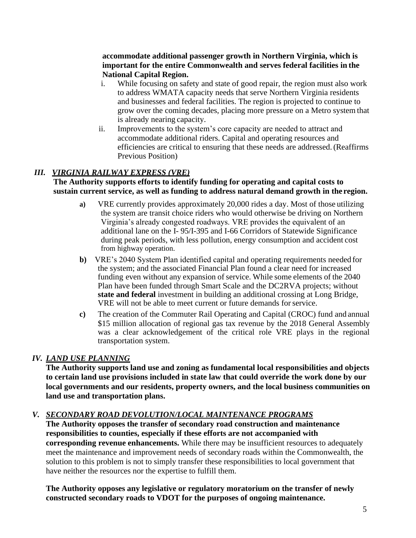#### **accommodate additional passenger growth in Northern Virginia, which is important for the entire Commonwealth and serves federal facilities in the National Capital Region.**

- i. While focusing on safety and state of good repair, the region must also work to address WMATA capacity needs that serve Northern Virginia residents and businesses and federal facilities. The region is projected to continue to grow over the coming decades, placing more pressure on a Metro system that is already nearing capacity.
- ii. Improvements to the system's core capacity are needed to attract and accommodate additional riders. Capital and operating resources and efficiencies are critical to ensuring that these needs are addressed.(Reaffirms Previous Position)

## *III. VIRGINIA RAILWAY EXPRESS (VRE)*

#### **The Authority supports efforts to identify funding for operating and capital costs to sustain current service, as well as funding to address natural demand growth in the region.**

- **a)** VRE currently provides approximately 20,000 rides a day. Most of those utilizing the system are transit choice riders who would otherwise be driving on Northern Virginia's already congested roadways. VRE provides the equivalent of an additional lane on the I- 95/I-395 and I-66 Corridors of Statewide Significance during peak periods, with less pollution, energy consumption and accident cost from highway operation.
- **b)** VRE's 2040 System Plan identified capital and operating requirements needed for the system; and the associated Financial Plan found a clear need for increased funding even without any expansion of service. While some elements of the 2040 Plan have been funded through Smart Scale and the DC2RVA projects; without **state and federal** investment in building an additional crossing at Long Bridge, VRE will not be able to meet current or future demands for service.
- **c)** The creation of the Commuter Rail Operating and Capital (CROC) fund and annual \$15 million allocation of regional gas tax revenue by the 2018 General Assembly was a clear acknowledgement of the critical role VRE plays in the regional transportation system.

## *IV. LAND USE PLANNING*

**The Authority supports land use and zoning as fundamental local responsibilities and objects to certain land use provisions included in state law that could override the work done by our local governments and our residents, property owners, and the local business communities on land use and transportation plans.**

## *V. SECONDARY ROAD DEVOLUTION/LOCAL MAINTENANCE PROGRAMS*

**The Authority opposes the transfer of secondary road construction and maintenance responsibilities to counties, especially if these efforts are not accompanied with corresponding revenue enhancements.** While there may be insufficient resources to adequately meet the maintenance and improvement needs of secondary roads within the Commonwealth, the solution to this problem is not to simply transfer these responsibilities to local government that have neither the resources nor the expertise to fulfill them.

**The Authority opposes any legislative or regulatory moratorium on the transfer of newly constructed secondary roads to VDOT for the purposes of ongoing maintenance.**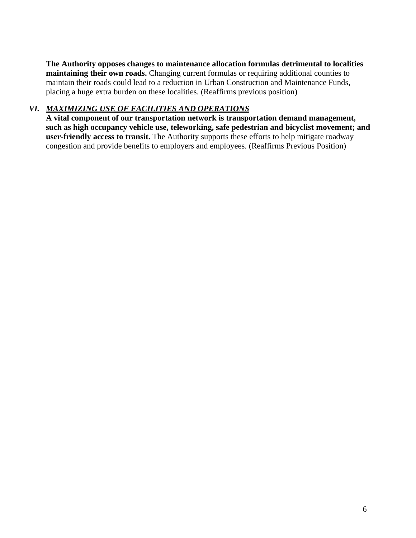**The Authority opposes changes to maintenance allocation formulas detrimental to localities maintaining their own roads.** Changing current formulas or requiring additional counties to maintain their roads could lead to a reduction in Urban Construction and Maintenance Funds, placing a huge extra burden on these localities. (Reaffirms previous position)

#### *VI. MAXIMIZING USE OF FACILITIES AND OPERATIONS*

**A vital component of our transportation network is transportation demand management, such as high occupancy vehicle use, teleworking, safe pedestrian and bicyclist movement; and user-friendly access to transit.** The Authority supports these efforts to help mitigate roadway congestion and provide benefits to employers and employees. (Reaffirms Previous Position)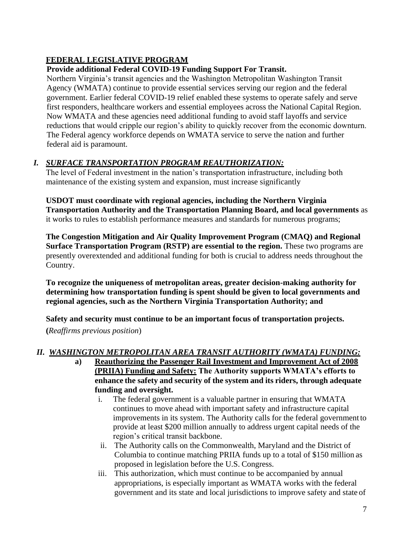# **FEDERAL LEGISLATIVE PROGRAM**

# **Provide additional Federal COVID-19 Funding Support For Transit.**

Northern Virginia's transit agencies and the Washington Metropolitan Washington Transit Agency (WMATA) continue to provide essential services serving our region and the federal government. Earlier federal COVID-19 relief enabled these systems to operate safely and serve first responders, healthcare workers and essential employees across the National Capital Region. Now WMATA and these agencies need additional funding to avoid staff layoffs and service reductions that would cripple our region's ability to quickly recover from the economic downturn. The Federal agency workforce depends on WMATA service to serve the nation and further federal aid is paramount.

# *I. SURFACE TRANSPORTATION PROGRAM REAUTHORIZATION:*

The level of Federal investment in the nation's transportation infrastructure, including both maintenance of the existing system and expansion, must increase significantly

**USDOT must coordinate with regional agencies, including the Northern Virginia Transportation Authority and the Transportation Planning Board, and local governments** as it works to rules to establish performance measures and standards for numerous programs;

**The Congestion Mitigation and Air Quality Improvement Program (CMAQ) and Regional Surface Transportation Program (RSTP) are essential to the region.** These two programs are presently overextended and additional funding for both is crucial to address needs throughout the Country.

**To recognize the uniqueness of metropolitan areas, greater decision-making authority for determining how transportation funding is spent should be given to local governments and regional agencies, such as the Northern Virginia Transportation Authority; and**

**Safety and security must continue to be an important focus of transportation projects.** 

**(***Reaffirms previous position*)

# *II. WASHINGTON METROPOLITAN AREA TRANSIT AUTHORITY (WMATA) FUNDING:*

- **a) Reauthorizing the Passenger Rail Investment and Improvement Act of 2008 (PRIIA) Funding and Safety: The Authority supports WMATA's efforts to enhance the safety and security of the system and its riders, through adequate funding and oversight.**
	- i. The federal government is a valuable partner in ensuring that WMATA continues to move ahead with important safety and infrastructure capital improvements in its system. The Authority calls for the federal governmentto provide at least \$200 million annually to address urgent capital needs of the region's critical transit backbone.
	- ii. The Authority calls on the Commonwealth, Maryland and the District of Columbia to continue matching PRIIA funds up to a total of \$150 million as proposed in legislation before the U.S. Congress.
	- iii. This authorization, which must continue to be accompanied by annual appropriations, is especially important as WMATA works with the federal government and its state and local jurisdictions to improve safety and state of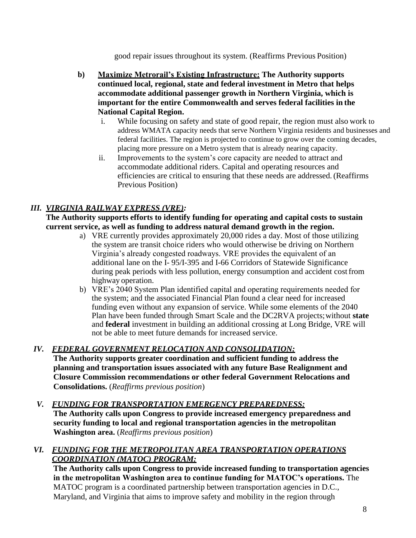good repair issues throughout its system. (Reaffirms Previous Position)

- **b) Maximize Metrorail's Existing Infrastructure: The Authority supports continued local, regional, state and federal investment in Metro that helps accommodate additional passenger growth in Northern Virginia, which is important for the entire Commonwealth and serves federal facilities in the National Capital Region.**
	- i. While focusing on safety and state of good repair, the region must also work to address WMATA capacity needs that serve Northern Virginia residents and businesses and federal facilities. The region is projected to continue to grow over the coming decades, placing more pressure on a Metro system that is already nearing capacity.
	- ii. Improvements to the system's core capacity are needed to attract and accommodate additional riders. Capital and operating resources and efficiencies are critical to ensuring that these needs are addressed.(Reaffirms Previous Position)

# *III. VIRGINIA RAILWAY EXPRESS (VRE):*

**The Authority supports efforts to identify funding for operating and capital costs to sustain current service, as well as funding to address natural demand growth in the region.**

- a) VRE currently provides approximately 20,000 rides a day. Most of those utilizing the system are transit choice riders who would otherwise be driving on Northern Virginia's already congested roadways. VRE provides the equivalent of an additional lane on the I- 95/I-395 and I-66 Corridors of Statewide Significance during peak periods with less pollution, energy consumption and accident cost from highway operation.
- b) VRE's 2040 System Plan identified capital and operating requirements needed for the system; and the associated Financial Plan found a clear need for increased funding even without any expansion of service. While some elements of the 2040 Plan have been funded through Smart Scale and the DC2RVA projects;without **state**  and **federal** investment in building an additional crossing at Long Bridge, VRE will not be able to meet future demands for increased service.

## *IV. FEDERAL GOVERNMENT RELOCATION AND CONSOLIDATION:*

**The Authority supports greater coordination and sufficient funding to address the planning and transportation issues associated with any future Base Realignment and Closure Commission recommendations or other federal Government Relocations and Consolidations.** (*Reaffirms previous position*)

#### *V. FUNDING FOR TRANSPORTATION EMERGENCY PREPAREDNESS:*

**The Authority calls upon Congress to provide increased emergency preparedness and security funding to local and regional transportation agencies in the metropolitan Washington area.** (*Reaffirms previous position*)

#### *VI. FUNDING FOR THE METROPOLITAN AREA TRANSPORTATION OPERATIONS COORDINATION (MATOC) PROGRAM:*

**The Authority calls upon Congress to provide increased funding to transportation agencies in the metropolitan Washington area to continue funding for MATOC's operations.** The MATOC program is a coordinated partnership between transportation agencies in D.C., Maryland, and Virginia that aims to improve safety and mobility in the region through